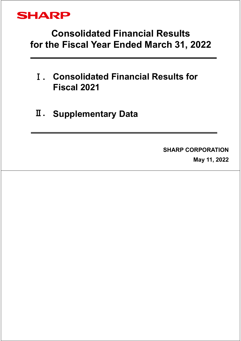

# **Consolidated Financial Results for the Fiscal Year Ended March 31, 2022**

- Ⅰ**. Consolidated Financial Results for Fiscal 2021**
- Ⅱ**. Supplementary Data**

#### **SHARP CORPORATION**

**May 11, 2022**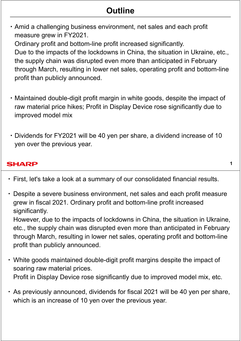## **Outline**

・Amid a challenging business environment, net sales and each profit measure grew in FY2021.

Ordinary profit and bottom-line profit increased significantly.

Due to the impacts of the lockdowns in China, the situation in Ukraine, etc., the supply chain was disrupted even more than anticipated in February through March, resulting in lower net sales, operating profit and bottom-line profit than publicly announced.

- ・Maintained double-digit profit margin in white goods, despite the impact of raw material price hikes; Profit in Display Device rose significantly due to improved model mix
- ・Dividends for FY2021 will be 40 yen per share, a dividend increase of 10 yen over the previous year.

**1**

#### **SHARP**

- ・ First, let's take a look at a summary of our consolidated financial results.
- ・Despite a severe business environment, net sales and each profit measure grew in fiscal 2021. Ordinary profit and bottom-line profit increased significantly.

However, due to the impacts of lockdowns in China, the situation in Ukraine, etc., the supply chain was disrupted even more than anticipated in February through March, resulting in lower net sales, operating profit and bottom-line profit than publicly announced.

- ・White goods maintained double-digit profit margins despite the impact of soaring raw material prices. Profit in Display Device rose significantly due to improved model mix, etc.
- ・As previously announced, dividends for fiscal 2021 will be 40 yen per share, which is an increase of 10 yen over the previous year.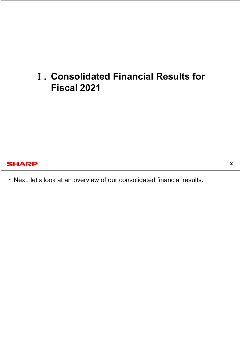# Ⅰ**. Consolidated Financial Results for Fiscal 2021**

#### **SHARP**

・ Next, let's look at an overview of our consolidated financial results.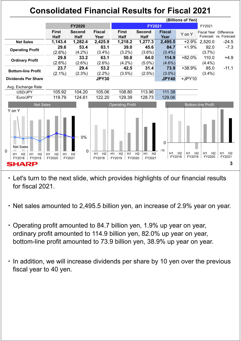## **Consolidated Financial Results for Fiscal 2021**



・ Let's turn to the next slide, which provides highlights of our financial results for fiscal 2021.

- ・ Net sales amounted to 2,495.5 billion yen, an increase of 2.9% year on year.
- ・ Operating profit amounted to 84.7 billion yen, 1.9% up year on year, ordinary profit amounted to 114.9 billion yen, 82.0% up year on year, bottom-line profit amounted to 73.9 billion yen, 38.9% up year on year.
- ・ In addition, we will increase dividends per share by 10 yen over the previous fiscal year to 40 yen.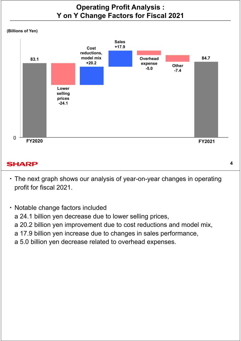## **Operating Profit Analysis : Y on Y Change Factors for Fiscal 2021**





#### **SHARP**

・ The next graph shows our analysis of year-on-year changes in operating profit for fiscal 2021.

**4**

・ Notable change factors included a 24.1 billion yen decrease due to lower selling prices, a 20.2 billion yen improvement due to cost reductions and model mix, a 17.9 billion yen increase due to changes in sales performance, a 5.0 billion yen decrease related to overhead expenses.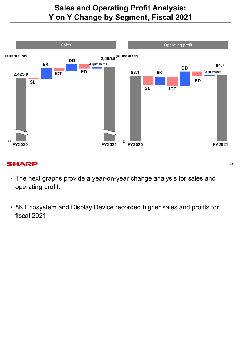## **Sales and Operating Profit Analysis: Y on Y Change by Segment, Fiscal 2021**



#### **SHARP**

・ The next graphs provide a year-on-year change analysis for sales and operating profit.

**5**

・ 8K Ecosystem and Display Device recorded higher sales and profits for fiscal 2021.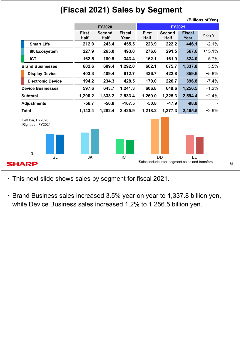## **(Fiscal 2021) Sales by Segment**



・ This next slide shows sales by segment for fiscal 2021.

・ Brand Business sales increased 3.5% year on year to 1,337.8 billion yen, while Device Business sales increased 1.2% to 1,256.5 billion yen.

**6**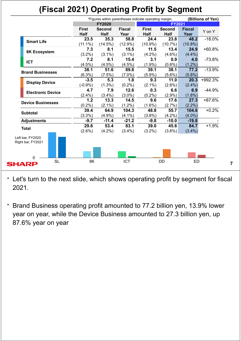# **(Fiscal 2021) Operating Profit by Segment**

|                                       |                             | *Figures within parentheses indicate operating margin.<br>(Billions of Yen) |                       |                             |                              |                       |          |  |
|---------------------------------------|-----------------------------|-----------------------------------------------------------------------------|-----------------------|-----------------------------|------------------------------|-----------------------|----------|--|
|                                       |                             | <b>FY2020</b>                                                               |                       |                             | <b>FY2021</b>                |                       |          |  |
|                                       | <b>First</b><br><b>Half</b> | <b>Second</b><br><b>Half</b>                                                | <b>Fiscal</b><br>Year | <b>First</b><br><b>Half</b> | <b>Second</b><br><b>Half</b> | <b>Fiscal</b><br>Year | Y on Y   |  |
| <b>Smart Life</b>                     | 23.5                        | 35.3                                                                        | 58.8                  | 24.4                        | 23.8                         | 48.2                  | $-18.0%$ |  |
|                                       | $(11.1\%)$                  | $(14.5\%)$                                                                  | $(12.9\%)$            | $(10.9\%)$                  | (10.7%)                      | $(10.8\%)$            |          |  |
| 8K Ecosystem                          | 7.3                         | 8.1                                                                         | 15.5                  | 11.5                        | 13.4                         | 24.9                  | $+60.8%$ |  |
|                                       | $(3.2\%)$                   | $(3.1\%)$                                                                   | $(3.1\%)$             | $(4.2\%)$                   | $(4.6\%)$                    | $(4.4\%)$             |          |  |
| <b>ICT</b>                            | 7.2                         | 8.1                                                                         | 15.4                  | 3.1                         | 0.9                          | 4.0                   | $-73.8%$ |  |
|                                       | $(4.5\%)$                   | $(4.5\%)$                                                                   | $(4.5\%)$             | (1.9%)                      | $(0.6\%)$                    | $(1.2\%)$             |          |  |
| <b>Brand Businesses</b>               | 38.1                        | 51.6                                                                        | 89.8                  | 39.1                        | 38.1                         | 77.2                  | $-13.9%$ |  |
|                                       | (6.3%)                      | $(7.5\%)$                                                                   | $(7.0\%)$             | $(5.9\%)$                   | $(5.6\%)$                    | $(5.8\%)$             |          |  |
|                                       | $-3.5$                      | 5.3                                                                         | 1.8                   | 9.3                         | 11.0                         | 20.3                  | +992.3%  |  |
| <b>Display Device</b>                 | $(-0.9%$                    | $(1.3\%)$                                                                   | $(0.2\%)$             | $(2.1\%)$                   | $(2.6\%)$                    | $(2.4\%)$             |          |  |
|                                       | 4.7                         | 7.9                                                                         | 12.6                  | 0.3                         | 6.6                          | 6.9                   | $-44.9%$ |  |
| <b>Electronic Device</b>              | $(2.4\%)$                   | $(3.4\%)$                                                                   | $(3.0\%)$             | $(0.2\%)$                   | $(2.9\%)$                    | $(1.8\%)$             |          |  |
| <b>Device Businesses</b>              | 1.2                         | 13.3                                                                        | 14.5                  | 9.6                         | 17.6                         | 27.3                  | +87.6%   |  |
|                                       | (0.2%)                      | $(2.1\%)$                                                                   | $(1.2\%)$             | $(1.6\%)$                   | $(2.7\%)$                    | $(2.2\%)$             |          |  |
|                                       | 39.4                        | 64.9                                                                        | 104.3                 | 48.8                        | 55.7                         | 104.6                 | $+0.2%$  |  |
| <b>Subtotal</b>                       | $(3.3\%)$                   | $(4.9\%)$                                                                   | $(4.1\%)$             | $(3.8\%)$                   | $(4.2\%)$                    | $(4.0\%)$             |          |  |
| <b>Adjustments</b>                    | $-9.7$                      | $-11.4$                                                                     | $-21.2$               | $-9.8$                      | $-10.0$                      | $-19.8$               |          |  |
| <b>Total</b>                          | 29.6                        | 53.4                                                                        | 83.1                  | 39.0                        | 45.6                         | 84.7                  | $+1.9%$  |  |
|                                       | $(2.6\%)$                   | $(4.2\%)$                                                                   | $(3.4\%)$             | $(3.2\%)$                   | $(3.6\%)$                    | $(3.4\%)$             |          |  |
| Left bar, FY2020<br>Right bar, FY2021 |                             |                                                                             |                       |                             |                              |                       |          |  |
| 0                                     |                             |                                                                             |                       |                             |                              |                       |          |  |
| <b>HARP</b>                           | <b>SL</b><br>8K             |                                                                             | <b>ICT</b>            |                             | <b>DD</b>                    | <b>ED</b>             |          |  |

・ Let's turn to the next slide, which shows operating profit by segment for fiscal 2021.

・ Brand Business operating profit amounted to 77.2 billion yen, 13.9% lower year on year, while the Device Business amounted to 27.3 billion yen, up 87.6% year on year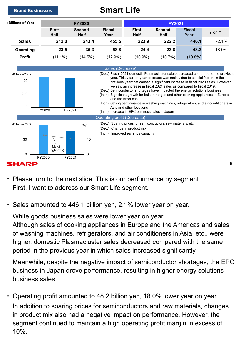

- ・ Please turn to the next slide. This is our performance by segment. First, I want to address our Smart Life segment.
- Sales amounted to 446.1 billion yen, 2.1% lower year on year.

White goods business sales were lower year on year.

Although sales of cooking appliances in Europe and the Americas and sales of washing machines, refrigerators, and air conditioners in Asia, etc., were higher, domestic Plasmacluster sales decreased compared with the same period in the previous year in which sales increased significantly.

Meanwhile, despite the negative impact of semiconductor shortages, the EPC business in Japan drove performance, resulting in higher energy solutions business sales.

Operating profit amounted to 48.2 billion yen, 18.0% lower year on year. In addition to soaring prices for semiconductors and raw materials, changes in product mix also had a negative impact on performance. However, the segment continued to maintain a high operating profit margin in excess of 10%.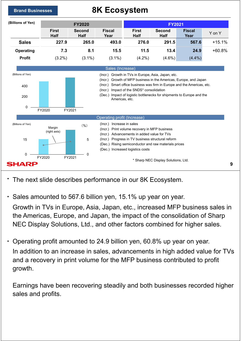

## **Brand Businesses 8K Ecosystem**



- ・ The next slide describes performance in our 8K Ecosystem.
- ・ Sales amounted to 567.6 billion yen, 15.1% up year on year.

Growth in TVs in Europe, Asia, Japan, etc., increased MFP business sales in the Americas, Europe, and Japan, the impact of the consolidation of Sharp NEC Display Solutions, Ltd., and other factors combined for higher sales.

・ Operating profit amounted to 24.9 billion yen, 60.8% up year on year. In addition to an increase in sales, advancements in high added value for TVs and a recovery in print volume for the MFP business contributed to profit growth.

Earnings have been recovering steadily and both businesses recorded higher sales and profits.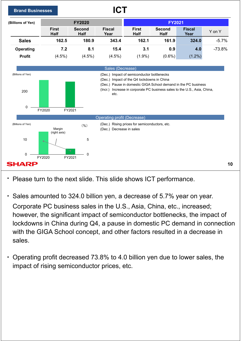

- ・ Please turn to the next slide. This slide shows ICT performance.
- ・ Sales amounted to 324.0 billion yen, a decrease of 5.7% year on year. Corporate PC business sales in the U.S., Asia, China, etc., increased; however, the significant impact of semiconductor bottlenecks, the impact of lockdowns in China during Q4, a pause in domestic PC demand in connection with the GIGA School concept, and other factors resulted in a decrease in sales.
- Operating profit decreased 73.8% to 4.0 billion yen due to lower sales, the impact of rising semiconductor prices, etc.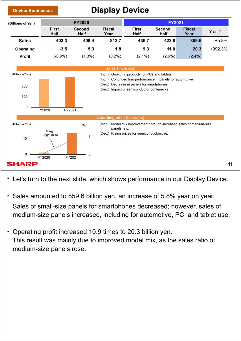

・ Let's turn to the next slide, which shows performance in our Display Device.

- ・ Sales amounted to 859.6 billion yen, an increase of 5.8% year on year. Sales of small-size panels for smartphones decreased; however, sales of medium-size panels increased, including for automotive, PC, and tablet use.
- Operating profit increased 10.9 times to 20.3 billion yen. This result was mainly due to improved model mix, as the sales ratio of medium-size panels rose.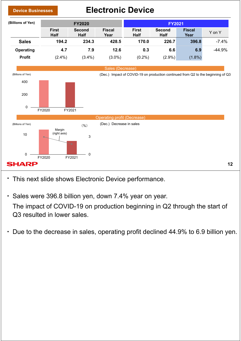

- ・ This next slide shows Electronic Device performance.
- ・ Sales were 396.8 billion yen, down 7.4% year on year.

The impact of COVID-19 on production beginning in Q2 through the start of Q3 resulted in lower sales.

・ Due to the decrease in sales, operating profit declined 44.9% to 6.9 billion yen.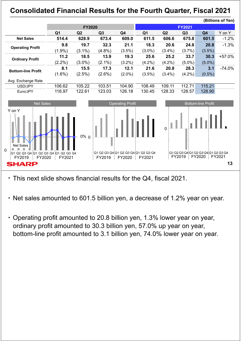## **Consolidated Financial Results for the Fourth Quarter, Fiscal 2021**



- ・ This next slide shows financial results for the Q4, fiscal 2021.
- ・ Net sales amounted to 601.5 billion yen, a decrease of 1.2% year on year.
- ・ Operating profit amounted to 20.8 billion yen, 1.3% lower year on year, ordinary profit amounted to 30.3 billion yen, 57.0% up year on year, bottom-line profit amounted to 3.1 billion yen, 74.0% lower year on year.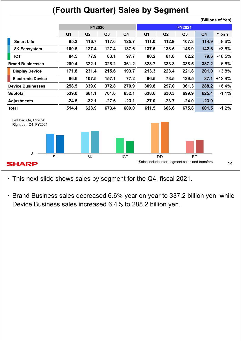## **(Fourth Quarter) Sales by Segment**



・ This next slide shows sales by segment for the Q4, fiscal 2021.

・ Brand Business sales decreased 6.6% year on year to 337.2 billion yen, while Device Business sales increased 6.4% to 288.2 billion yen.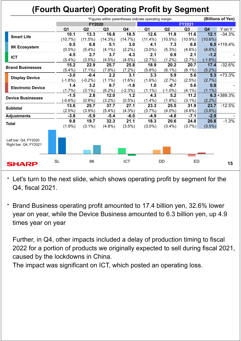# **(Fourth Quarter) Operating Profit by Segment**

|                                               | *Figures within parentheses indicate operating margin. |               |           |            |                |            |               | (Billions of Yen) |                |
|-----------------------------------------------|--------------------------------------------------------|---------------|-----------|------------|----------------|------------|---------------|-------------------|----------------|
|                                               |                                                        | <b>FY2020</b> |           |            |                |            | <b>FY2021</b> |                   |                |
|                                               | Q <sub>1</sub>                                         | Q2            | Q3        | Q4         | Q <sub>1</sub> | Q2         | Q3            | Q4                | Y on Y         |
| <b>Smart Life</b>                             | 10.1                                                   | 13.3          | 16.8      | 18.5       | 12.6           | 11.8       | 11.6          | 12.1              | $-34.3%$       |
|                                               | $(10.7\%)$                                             | $(11.5\%)$    | (14.3%)   | (14.7%)    | $(11.4\%)$     | $(10.5\%)$ | $(10.9\%)$    | $(10.6\%)$        |                |
| 8K Ecosystem                                  | 0.5                                                    | 6.8           | 5.1       | 3.0        | 4.1            | 7.3        | 6.8           |                   | $6.5 + 119.4%$ |
|                                               | $(0.5\%)$                                              | $(5.4\%)$     | $(4.1\%)$ | $(2.2\%)$  | $(3.0\%)$      | $(5.3\%)$  | $(4.6\%)$     | $(4.6\%)$         |                |
| <b>ICT</b>                                    | 4.5                                                    | 2.7           | 3.7       | 4.3        | 2.1            | 0.9        | 2.1           | $-1.2$            |                |
|                                               | (5.4%)                                                 | (3.5%)        | $(4.5\%)$ | $(4.5\%)$  | (2.7%)         | $(1.2\%)$  | (2.7%)        | $(-1.6%)$         |                |
| <b>Brand Businesses</b>                       | 15.2                                                   | 22.9          | 25.7      | 25.8       | 18.9           | 20.2       | 20.7          | 17.4              | $-32.6%$       |
|                                               | $(5.4\%)$                                              | $(7.1\%)$     | $(7.8\%)$ | $(7.2\%)$  | (5.8%)         | $(6.1\%)$  | $(6.1\%)$     | $(5.2\%)$         |                |
| <b>Display Device</b>                         | $-3.0$                                                 | $-0.4$        | 2.2       | 3.1        | 3.3            | 5.9        | 5.6           | 5.3               | $+73.3%$       |
|                                               | $(-1.8%)$                                              | $(-0.2\%)$    | $(1.1\%)$ | $(1.6\%)$  | $(1.6\%)$      | (2.7%)     | $(2.5\%)$     | (2.7%)            |                |
| <b>Electronic Device</b>                      | 1.4                                                    | 3.2           | 9.7       | $-1.8$     | 1.0            | $-0.7$     | 5.6           | 0.9               |                |
|                                               | $(1.7\%)$                                              | $(3.1\%)$     | $(6.2\%)$ | $(-2.3%)$  | $(1.1\%)$      | $(-1.0\%)$ | $(4.1\%)$     | $(1.1\%)$         |                |
| <b>Device Businesses</b>                      | $-1.5$                                                 | 2.8           | 12.0      | 1.2        | 4.3            | 5.2        | 11.2          |                   | $6.3 + 389.3%$ |
|                                               | $(-0.6%)$                                              | (0.8% )       | $(3.2\%)$ | $(0.5\%)$  | $(1.4\%)$      | $(1.8\%)$  | $(3.1\%)$     | $(2.2\%)$         |                |
| <b>Subtotal</b>                               | 13.6                                                   | 25.7          | 37.7      | 27.1       | 23.3           | 25.5       | 31.9          | 23.7              | $-12.5%$       |
|                                               | $(2.5\%)$                                              | (3.9%)        | $(5.4\%)$ | $(4.3\%)$  | (3.7%)         | $(4.0\%)$  | $(4.6\%)$     | (3.8%)            |                |
| <b>Adjustments</b>                            | $-3.8$                                                 | $-5.9$        | $-5.4$    | $-6.0$     | $-4.9$         | $-4.8$     | $-7.1$        | $-2.9$            |                |
| <b>Total</b>                                  | 9.8                                                    | 19.7          | 32.3      | 21.1       | 18.3           | 20.6       | 24.8          | 20.8              | $-1.3%$        |
|                                               | $(1.9\%)$                                              | $(3.1\%)$     | $(4.8\%)$ | $(3.5\%)$  | $(3.0\%)$      | $(3.4\%)$  | (3.7%)        | $(3.5\%)$         |                |
|                                               |                                                        |               |           |            |                |            |               |                   |                |
|                                               |                                                        |               |           |            |                |            |               |                   |                |
| Left bar: Q4, FY2020<br>Right bar: Q4, FY2021 |                                                        |               |           |            |                |            |               |                   |                |
|                                               |                                                        |               |           |            |                |            |               |                   |                |
|                                               |                                                        |               |           |            |                |            |               |                   |                |
|                                               |                                                        |               |           |            |                |            |               |                   |                |
| <b>SHARP</b>                                  | <b>SL</b>                                              | 8K            |           | <b>ICT</b> |                | <b>DD</b>  | <b>ED</b>     |                   | 15             |
|                                               |                                                        |               |           |            |                |            |               |                   |                |

・ Let's turn to the next slide, which shows operating profit by segment for the Q4, fiscal 2021.

Brand Business operating profit amounted to 17.4 billion yen, 32.6% lower year on year, while the Device Business amounted to 6.3 billion yen, up 4.9 times year on year

Further, in Q4, other impacts included a delay of production timing to fiscal 2022 for a portion of products we originally expected to sell during fiscal 2021, caused by the lockdowns in China.

The impact was significant on ICT, which posted an operating loss.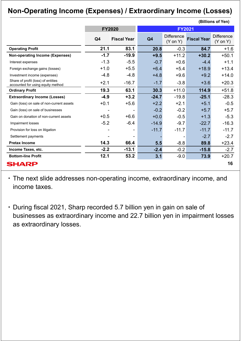## **Non-Operating Income (Expenses) / Extraordinary Income (Losses)**

|                                                                         |                |                    |                |                                          |                    | (Billions of Yen)                        |
|-------------------------------------------------------------------------|----------------|--------------------|----------------|------------------------------------------|--------------------|------------------------------------------|
|                                                                         |                | <b>FY2020</b>      |                | <b>FY2021</b>                            |                    |                                          |
|                                                                         | Q <sub>4</sub> | <b>Fiscal Year</b> | Q <sub>4</sub> | <b>Difference</b><br>$(Y \text{ on } Y)$ | <b>Fiscal Year</b> | <b>Difference</b><br>$(Y \text{ on } Y)$ |
| <b>Operating Profit</b>                                                 | 21.1           | 83.1               | 20.8           | $-0.3$                                   | 84.7               | $+1.6$                                   |
| <b>Non-operating Income (Expenses)</b>                                  | $-1.7$         | $-19.9$            | $+9.5$         | $+11.2$                                  | $+30.2$            | $+50.1$                                  |
| Interest expenses                                                       | $-1.3$         | $-5.5$             | $-0.7$         | $+0.6$                                   | $-4.4$             | $+1.1$                                   |
| Foreign exchange gains (losses)                                         | $+1.0$         | $+5.5$             | $+6.4$         | $+5.4$                                   | $+18.9$            | $+13.4$                                  |
| Investment income (expenses)                                            | $-4.8$         | $-4.8$             | $+4.8$         | $+9.6$                                   | $+9.2$             | $+14.0$                                  |
| Share of profit (loss) of entities<br>accounted for using equity method | $+2.1$         | $-16.7$            | $-1.7$         | $-3.8$                                   | $+3.6$             | $+20.3$                                  |
| <b>Ordinary Profit</b>                                                  | 19.3           | 63.1               | 30.3           | $+11.0$                                  | 114.9              | $+51.8$                                  |
| <b>Extraordinary Income (Losses)</b>                                    | $-4.9$         | $+3.2$             | $-24.7$        | $-19.8$                                  | $-25.1$            | $-28.3$                                  |
| Gain (loss) on sale of non-current assets                               | $+0.1$         | $+5.6$             | $+2.2$         | $+2.1$                                   | $+5.1$             | $-0.5$                                   |
| Gain (loss) on sale of businesses                                       |                |                    | $-0.2$         | $-0.2$                                   | $+5.7$             | $+5.7$                                   |
| Gain on donation of non-current assets                                  | $+0.5$         | $+6.6$             | $+0.0$         | $-0.5$                                   | $+1.3$             | $-5.3$                                   |
| Impairment losses                                                       | $-5.2$         | $-6.4$             | $-14.9$        | $-9.7$                                   | $-22.7$            | $-16.3$                                  |
| Provision for loss on litigation                                        |                |                    | $-11.7$        | $-11.7$                                  | $-11.7$            | $-11.7$                                  |
| Settlement payments                                                     |                |                    |                | $\blacksquare$                           | $-2.7$             | $-2.7$                                   |
| <b>Pretax Income</b>                                                    | 14.3           | 66.4               | 5.5            | $-8.8$                                   | 89.8               | $+23.4$                                  |
| Income Taxes, etc.                                                      | $-2.2$         | $-13.1$            | $-2.4$         | $-0.2$                                   | $-15.8$            | $-2.7$                                   |
| <b>Bottom-line Profit</b>                                               | 12.1           | 53.2               | 3.1            | $-9.0$                                   | 73.9               | $+20.7$                                  |
| <b>SHARP</b>                                                            |                |                    |                |                                          |                    | 16                                       |

・ The next slide addresses non-operating income, extraordinary income, and income taxes.

・ During fiscal 2021, Sharp recorded 5.7 billion yen in gain on sale of businesses as extraordinary income and 22.7 billion yen in impairment losses as extraordinary losses.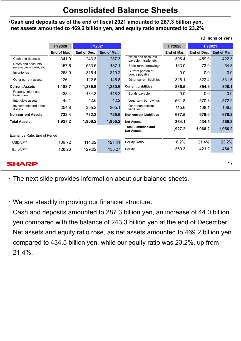## **Consolidated Balance Sheets**

#### ・**Cash and deposits as of the end of fiscal 2021 amounted to 287.3 billion yen, net assets amounted to 469.2 billion yen, and equity ratio amounted to 23.2%**

|                                                | <b>FY2020</b> | <b>FY2021</b> |             |                                                   | <b>FY2020</b> | <b>FY2021</b> |             |
|------------------------------------------------|---------------|---------------|-------------|---------------------------------------------------|---------------|---------------|-------------|
|                                                | End of Mar.   | End of Dec.   | End of Mar. |                                                   | End of Mar.   | End of Dec.   | End of Mar. |
| Cash and deposits                              | 341.9         | 243.3         | 287.3       | Notes and accounts<br>payable - trade, etc.       | 396.4         | 459.0         | 422.3       |
| Notes and accounts<br>receivable - trade, etc. | 457.6         | 553.5         | 487.1       | Short-term borrowings                             | 163.0         | 73.0          | 54.3        |
| Inventories                                    | 263.0         | 316.4         | 310.2       | Current portion of<br>bonds payable               | 0.0           | 0.0           | 0.0         |
| Other current assets                           | 126.1         | 122.5         | 145.8       | Other current liabilities                         | 326.1         | 322.4         | 331.5       |
| <b>Current Assets</b>                          | 1,188.7       | 1,235.9       | 1,230.6     | <b>Current Liabilities</b>                        | 885.5         | 854.6         | 808.1       |
| Property, plant and<br>Equipment               | 438.4         | 434.3         | 418.2       | Bonds payable                                     | 0.0           | 0.0           | 0.0         |
| Intangible assets                              | 45.1          | 42.6          | 42.2        | Long-term borrowings                              | 561.8         | 570.8         | 572.2       |
| Investments and other<br>Assets                | 254.8         | 255.2         | 265.1       | Other non-current<br>liabilities                  | 115.6         | 108.1         | 106.5       |
| <b>Non-current Assets</b>                      | 738.4         | 732.3         | 725.6       | <b>Non-current Liabilities</b>                    | 677.5         | 679.0         | 678.8       |
| <b>Total Assets</b>                            | 1,927.2       | 1,968.2       | 1,956.2     | <b>Net Assets</b>                                 | 364.1         | 434.5         | 469.2       |
|                                                |               |               |             | <b>Total Liabilities and</b><br><b>Net Assets</b> | 1,927.2       | 1,968.2       | 1,956.2     |
| Exchange Rate, End of Period                   |               |               |             |                                                   |               |               |             |
| USD/JPY                                        | 109.72        | 114.02        | 121.41      | <b>Equity Ratio</b>                               | 18.2%         | 21.4%         | 23.2%       |
| Euro/JPY                                       | 128.26        | 129.02        | 135.27      | Equity                                            | 350.3         | 421.2         | 454.2       |
|                                                |               |               |             |                                                   |               |               |             |

#### **SHARP**

**17**

**(Billions of Yen)**

・ The next slide provides information about our balance sheets.

・ We are steadily improving our financial structure.

Cash and deposits amounted to 287.3 billion yen, an increase of 44.0 billion yen compared with the balance of 243.3 billion yen at the end of December. Net assets and equity ratio rose, as net assets amounted to 469.2 billion yen compared to 434.5 billion yen, while our equity ratio was 23.2%, up from 21.4%.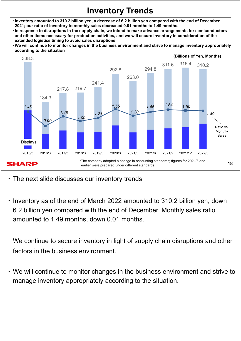## **Inventory Trends**

- ・**Inventory amounted to 310.2 billion yen, a decrease of 6.2 billion yen compared with the end of December 2021; our ratio of inventory to monthly sales decreased 0.01 months to 1.49 months.**
- ・**In response to disruptions in the supply chain, we intend to make advance arrangements for semiconductors and other items necessary for production activities, and we will secure inventory in consideration of the extended logistics timing to avoid sales disruptions**
- ・**We will continue to monitor changes in the business environment and strive to manage inventory appropriately according to the situation**



・ The next slide discusses our inventory trends.

・ Inventory as of the end of March 2022 amounted to 310.2 billion yen, down 6.2 billion yen compared with the end of December. Monthly sales ratio amounted to 1.49 months, down 0.01 months.

We continue to secure inventory in light of supply chain disruptions and other factors in the business environment.

・ We will continue to monitor changes in the business environment and strive to manage inventory appropriately according to the situation.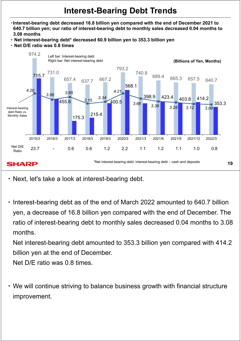## **Interest-Bearing Debt Trends**

- ・**Interest-bearing debt decreased 16.8 billion yen compared with the end of December 2021 to 640.7 billion yen; our ratio of interest-bearing debt to monthly sales decreased 0.04 months to 3.08 months**
- ・ **Net interest-bearing debt\* decreased 60.9 billion yen to 353.3 billion yen**
- ・ **Net D/E ratio was 0.8 times**



- ・ Next, let's take a look at interest-bearing debt.
- ・ Interest-bearing debt as of the end of March 2022 amounted to 640.7 billion yen, a decrease of 16.8 billion yen compared with the end of December. The ratio of interest-bearing debt to monthly sales decreased 0.04 months to 3.08 months.

Net interest-bearing debt amounted to 353.3 billion yen compared with 414.2 billion yen at the end of December.

Net D/E ratio was 0.8 times.

・ We will continue striving to balance business growth with financial structure improvement.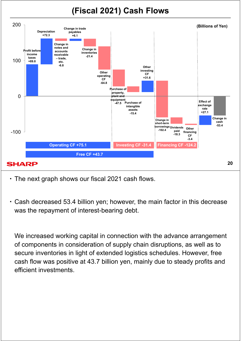# **(Fiscal 2021) Cash Flows**



・ The next graph shows our fiscal 2021 cash flows.

・ Cash decreased 53.4 billion yen; however, the main factor in this decrease was the repayment of interest-bearing debt.

We increased working capital in connection with the advance arrangement of components in consideration of supply chain disruptions, as well as to secure inventories in light of extended logistics schedules. However, free cash flow was positive at 43.7 billion yen, mainly due to steady profits and efficient investments.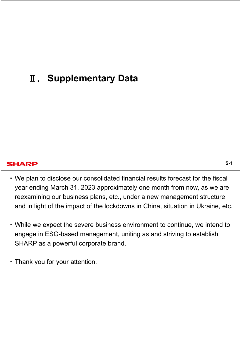# Ⅱ**. Supplementary Data**

#### **SHARP**

- ・ We plan to disclose our consolidated financial results forecast for the fiscal year ending March 31, 2023 approximately one month from now, as we are reexamining our business plans, etc., under a new management structure and in light of the impact of the lockdowns in China, situation in Ukraine, etc.
- ・ While we expect the severe business environment to continue, we intend to engage in ESG-based management, uniting as and striving to establish SHARP as a powerful corporate brand.
- ・ Thank you for your attention.

**S-1**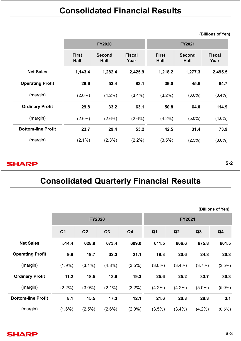|                           |                             | <b>FY2020</b>                |                       | <b>FY2021</b>               |                              |                       |  |  |
|---------------------------|-----------------------------|------------------------------|-----------------------|-----------------------------|------------------------------|-----------------------|--|--|
|                           | <b>First</b><br><b>Half</b> | <b>Second</b><br><b>Half</b> | <b>Fiscal</b><br>Year | <b>First</b><br><b>Half</b> | <b>Second</b><br><b>Half</b> | <b>Fiscal</b><br>Year |  |  |
| <b>Net Sales</b>          | 1,143.4                     | 1,282.4                      | 2,425.9               | 1,218.2                     | 1,277.3                      | 2,495.5               |  |  |
| <b>Operating Profit</b>   | 29.6                        | 53.4                         | 83.1                  | 39.0                        | 45.6                         | 84.7                  |  |  |
| (margin)                  | $(2.6\%)$                   | $(4.2\%)$                    | $(3.4\%)$             | $(3.2\%)$                   | $(3.6\%)$                    | $(3.4\%)$             |  |  |
| <b>Ordinary Profit</b>    | 29.8                        | 33.2                         | 63.1                  | 50.8                        | 64.0                         | 114.9                 |  |  |
| (margin)                  | $(2.6\%)$                   | $(2.6\%)$                    | $(2.6\%)$             | $(4.2\%)$                   | $(5.0\%)$                    | $(4.6\%)$             |  |  |
| <b>Bottom-line Profit</b> | 23.7                        | 29.4                         | 53.2                  | 42.5                        | 31.4                         | 73.9                  |  |  |
| (margin)                  | $(2.1\%)$                   | $(2.3\%)$                    | $(2.2\%)$             | $(3.5\%)$                   | $(2.5\%)$                    | $(3.0\%)$             |  |  |

#### **SHARP**

**S-2**

**(Billions of Yen)**

# **Consolidated Quarterly Financial Results**

# **FY2020 FY2021 Q1 Q2 Q3 Q4 Q1 Q2 Q3 Q4 Net Sales 514.4 628.9 673.4 609.0 611.5 606.6 675.8 601.5 Operating Profit 9.8 19.7 32.3 21.1 18.3 20.6 24.8 20.8** (margin) (1.9%) (3.1%) (4.8%) (3.5%) (3.0%) (3.4%) (3.7%) (3.5%) **Ordinary Profit 11.2 18.5 13.9 19.3 25.6 25.2 33.7 30.3** (margin) (2.2%) (3.0%) (2.1%) (3.2%) (4.2%) (4.2%) (5.0%) (5.0%) **Bottom-line Profit 8.1 15.5 17.3 12.1 21.6 20.8 28.3 3.1** (margin) (1.6%) (2.5%) (2.6%) (2.0%) (3.5%) (3.4%) (4.2%) (0.5%) **(Billions of Yen)**

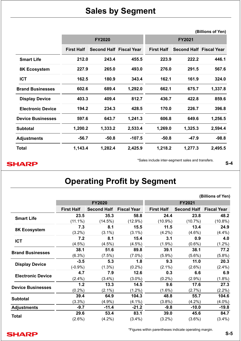## **Sales by Segment**

|                          |                   |                                |          |                   |                                | (Billions of Yen) |
|--------------------------|-------------------|--------------------------------|----------|-------------------|--------------------------------|-------------------|
|                          |                   | <b>FY2020</b>                  |          |                   | <b>FY2021</b>                  |                   |
|                          | <b>First Half</b> | <b>Second Half Fiscal Year</b> |          | <b>First Half</b> | <b>Second Half Fiscal Year</b> |                   |
| <b>Smart Life</b>        | 212.0             | 243.4                          | 455.5    | 223.9             | 222.2                          | 446.1             |
| 8K Ecosystem             | 227.9             | 265.0                          | 493.0    | 276.0             | 291.5                          | 567.6             |
| <b>ICT</b>               | 162.5             | 180.9                          | 343.4    | 162.1             | 161.9                          | 324.0             |
| <b>Brand Businesses</b>  | 602.6             | 689.4                          | 1,292.0  | 662.1             | 675.7                          | 1,337.8           |
| <b>Display Device</b>    | 403.3             | 409.4                          | 812.7    | 436.7             | 422.8                          | 859.6             |
| <b>Electronic Device</b> | 194.2             | 234.3                          | 428.5    | 170.0             | 226.7                          | 396.8             |
| <b>Device Businesses</b> | 597.6             | 643.7                          | 1,241.3  | 606.8             | 649.6                          | 1,256.5           |
| <b>Subtotal</b>          | 1,200.2           | 1,333.2                        | 2,533.4  | 1,269.0           | 1,325.3                        | 2,594.4           |
| <b>Adjustments</b>       | $-56.7$           | $-50.8$                        | $-107.5$ | $-50.8$           | $-47.9$                        | $-98.8$           |
| <b>Total</b>             | 1,143.4           | 1,282.4                        | 2,425.9  | 1,218.2           | 1,277.3                        | 2,495.5           |

#### **SHARP**

\*Sales include inter-segment sales and transfers.

**S-4**

# **Operating Profit by Segment**

|                          |                   |                    |                    |                   |                    | (Billions of Yen)  |
|--------------------------|-------------------|--------------------|--------------------|-------------------|--------------------|--------------------|
|                          |                   | <b>FY2020</b>      |                    |                   | FY2021             |                    |
|                          | <b>First Half</b> | <b>Second Half</b> | <b>Fiscal Year</b> | <b>First Half</b> | <b>Second Half</b> | <b>Fiscal Year</b> |
|                          | 23.5              | 35.3               | 58.8               | 24.4              | 23.8               | 48.2               |
| <b>Smart Life</b>        | $(11.1\%)$        | (14.5%)            | $(12.9\%)$         | $(10.9\%)$        | (10.7%)            | $(10.8\%)$         |
|                          | 7.3               | 8.1                | 15.5               | 11.5              | 13.4               | 24.9               |
| 8K Ecosystem             | $(3.2\%)$         | $(3.1\%)$          | $(3.1\%)$          | $(4.2\%)$         | $(4.6\%)$          | $(4.4\%)$          |
|                          | 7.2               | 8.1                | 15.4               | 3.1               | 0.9                | 4.0                |
| <b>ICT</b>               | $(4.5\%)$         | $(4.5\%)$          | (4.5%)             | $(1.9\%)$         | $(0.6\%)$          | $(1.2\%)$          |
|                          | 38.1              | 51.6               | 89.8               | 39.1              | 38.1               | 77.2               |
| <b>Brand Businesses</b>  | $(6.3\%)$         | $(7.5\%)$          | $(7.0\%)$          | $(5.9\%)$         | $(5.6\%)$          | $(5.8\%)$          |
|                          | $-3.5$            | 5.3                | 1.8                | 9.3               | 11.0               | 20.3               |
| <b>Display Device</b>    | $(-0.9%$          | $(1.3\%)$          | $(0.2\%)$          | $(2.1\%)$         | $(2.6\%)$          | $(2.4\%)$          |
|                          | 4.7               | 7.9                | 12.6               | 0.3               | 6.6                | 6.9                |
| <b>Electronic Device</b> | $(2.4\%)$         | $(3.4\%)$          | $(3.0\%)$          | $(0.2\%)$         | $(2.9\%)$          | (1.8%)             |
|                          | 1.2               | 13.3               | 14.5               | 9.6               | 17.6               | 27.3               |
| <b>Device Businesses</b> | $(0.2\%)$         | $(2.1\%)$          | $(1.2\%)$          | $(1.6\%)$         | (2.7%)             | $(2.2\%)$          |
|                          | 39.4              | 64.9               | 104.3              | 48.8              | 55.7               | 104.6              |
| <b>Subtotal</b>          | $(3.3\%)$         | $(4.9\%)$          | $(4.1\%)$          | $(3.8\%)$         | $(4.2\%)$          | $(4.0\%)$          |
| <b>Adjustments</b>       | $-9.7$            | $-11.4$            | $-21.2$            | $-9.8$            | $-10.0$            | $-19.8$            |
|                          | 29.6              | 53.4               | 83.1               | 39.0              | 45.6               | 84.7               |
| <b>Total</b>             | $(2.6\%)$         | $(4.2\%)$          | $(3.4\%)$          | $(3.2\%)$         | $(3.6\%)$          | $(3.4\%)$          |
|                          |                   |                    |                    |                   |                    |                    |



\*Figures within parentheses indicate operating margin.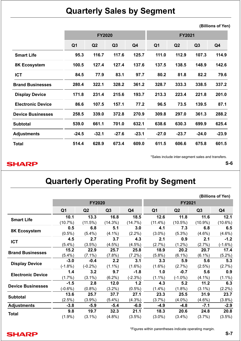## **Quarterly Sales by Segment**

**(Billions of Yen)**

|                          |                |                | <b>FY2020</b> |         | <b>FY2021</b>  |                |                |         |
|--------------------------|----------------|----------------|---------------|---------|----------------|----------------|----------------|---------|
|                          | Q <sub>1</sub> | Q <sub>2</sub> | Q3            | Q4      | Q <sub>1</sub> | Q <sub>2</sub> | Q <sub>3</sub> | Q4      |
| <b>Smart Life</b>        | 95.3           | 116.7          | 117.6         | 125.7   | 111.0          | 112.9          | 107.3          | 114.9   |
| 8K Ecosystem             | 100.5          | 127.4          | 127.4         | 137.6   | 137.5          | 138.5          | 148.9          | 142.6   |
| <b>ICT</b>               | 84.5           | 77.9           | 83.1          | 97.7    | 80.2           | 81.8           | 82.2           | 79.6    |
| <b>Brand Businesses</b>  | 280.4          | 322.1          | 328.2         | 361.2   | 328.7          | 333.3          | 338.5          | 337.2   |
| <b>Display Device</b>    | 171.8          | 231.4          | 215.6         | 193.7   | 213.3          | 223.4          | 221.8          | 201.0   |
| <b>Electronic Device</b> | 86.6           | 107.5          | 157.1         | 77.2    | 96.5           | 73.5           | 139.5          | 87.1    |
| <b>Device Businesses</b> | 258.5          | 339.0          | 372.8         | 270.9   | 309.8          | 297.0          | 361.3          | 288.2   |
| <b>Subtotal</b>          | 539.0          | 661.1          | 701.0         | 632.1   | 638.6          | 630.3          | 699.9          | 625.4   |
| <b>Adjustments</b>       | $-24.5$        | $-32.1$        | $-27.6$       | $-23.1$ | $-27.0$        | $-23.7$        | $-24.0$        | $-23.9$ |
| <b>Total</b>             | 514.4          | 628.9          | 673.4         | 609.0   | 611.5          | 606.6          | 675.8          | 601.5   |

\*Sales include inter-segment sales and transfers.

#### **S-6**

#### **SHARP**

**Quarterly Operating Profit by Segment**

|                |                |                |                |                |            |                | (Billions of Yen) |
|----------------|----------------|----------------|----------------|----------------|------------|----------------|-------------------|
|                |                |                |                |                |            |                |                   |
| Q <sub>1</sub> | Q <sub>2</sub> | Q <sub>3</sub> | Q <sub>4</sub> | Q <sub>1</sub> | Q2         | Q <sub>3</sub> | Q4                |
| 10.1           | 13.3           | 16.8           | 18.5           | 12.6           | 11.8       | 11.6           | 12.1              |
| (10.7%)        | $(11.5\%)$     | (14.3%)        | (14.7%)        | $(11.4\%)$     | $(10.5\%)$ | $(10.9\%)$     | $(10.6\%)$        |
| 0.5            | 6.8            | 5.1            | 3.0            | 4.1            | 7.3        | 6.8            | 6.5               |
| $(0.5\%)$      | $(5.4\%)$      | $(4.1\%)$      | $(2.2\%)$      | $(3.0\%)$      | $(5.3\%)$  | $(4.6\%)$      | $(4.6\%)$         |
| 4.5            | 2.7            | 3.7            | 4.3            | 2.1            | 0.9        | 2.1            | $-1.2$            |
| $(5.4\%)$      | $(3.5\%)$      | $(4.5\%)$      | (4.5%)         | (2.7%)         | $(1.2\%)$  | (2.7%)         | $(-1.6%)$         |
| 15.2           | 22.9           | 25.7           | 25.8           | 18.9           | 20.2       | 20.7           | 17.4              |
| $(5.4\%)$      | $(7.1\%)$      | $(7.8\%)$      | $(7.2\%)$      | $(5.8\%)$      | $(6.1\%)$  | $(6.1\%)$      | $(5.2\%)$         |
| $-3.0$         | $-0.4$         | 2.2            | 3.1            | 3.3            | 5.9        | 5.6            | 5.3               |
| $(-1.8%)$      | $(-0.2\%)$     | $(1.1\%)$      | $(1.6\%)$      | $(1.6\%)$      | (2.7%)     | (2.5%)         | (2.7%)            |
| 1.4            | 3.2            | 9.7            | $-1.8$         | 1.0            | $-0.7$     | 5.6            | 0.9               |
| $(1.7\%)$      | $(3.1\%)$      | $(6.2\%)$      | $(-2.3%)$      | $(1.1\%)$      | $(-1.0\%)$ | $(4.1\%)$      | $(1.1\%)$         |
| $-1.5$         | 2.8            | 12.0           | 1.2            | 4.3            | 5.2        | 11.2           | 6.3               |
| $(-0.6%)$      | (0.8% )        | $(3.2\%)$      | $(0.5\%)$      | $(1.4\%)$      | $(1.8\%)$  | $(3.1\%)$      | $(2.2\%)$         |
| 13.6           | 25.7           | 37.7           | 27.1           | 23.3           | 25.5       | 31.9           | 23.7              |
| $(2.5\%)$      | (3.9%)         | $(5.4\%)$      | $(4.3\%)$      | (3.7%)         | $(4.0\%)$  | $(4.6\%)$      | (3.8%)            |
| $-3.8$         | $-5.9$         | $-5.4$         | $-6.0$         | $-4.9$         | $-4.8$     | $-7.1$         | $-2.9$            |
| 9.8            | 19.7           | 32.3           | 21.1           | 18.3           | 20.6       | 24.8           | 20.8              |
| $(1.9\%)$      | $(3.1\%)$      | $(4.8\%)$      | $(3.5\%)$      | $(3.0\%)$      | $(3.4\%)$  | (3.7%)         | $(3.5\%)$         |
|                |                |                | <b>FY2020</b>  |                |            |                | <b>FY2021</b>     |

#### **SHARP**

\*Figures within parentheses indicate operating margin.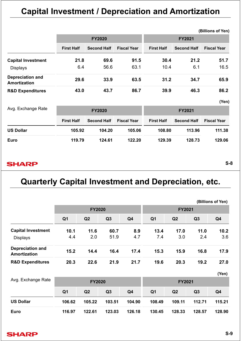# **Capital Investment / Depreciation and Amortization**

|                                         |                   |                    |                    |                   |                    | (Billions of Yen)  |  |  |
|-----------------------------------------|-------------------|--------------------|--------------------|-------------------|--------------------|--------------------|--|--|
|                                         |                   | <b>FY2020</b>      |                    | <b>FY2021</b>     |                    |                    |  |  |
|                                         | <b>First Half</b> | <b>Second Half</b> | <b>Fiscal Year</b> | <b>First Half</b> | <b>Second Half</b> | <b>Fiscal Year</b> |  |  |
| <b>Capital Investment</b>               | 21.8              | 69.6               | 91.5               | 30.4              | 21.2               | 51.7               |  |  |
| <b>Displays</b>                         | 6.4               | 56.6               | 63.1               | 10.4              | 6.1                | 16.5               |  |  |
| <b>Depreciation and</b><br>Amortization | 29.6              | 33.9               | 63.5               | 31.2              | 34.7               | 65.9               |  |  |
| <b>R&amp;D Expenditures</b>             | 43.0              | 43.7               | 86.7               | 39.9              | 46.3               | 86.2               |  |  |

**(Yen)**

| Avg. Exchange Rate |                   | <b>FY2020</b>      |                    | <b>FY2021</b>     |                    |                    |  |  |
|--------------------|-------------------|--------------------|--------------------|-------------------|--------------------|--------------------|--|--|
|                    | <b>First Half</b> | <b>Second Half</b> | <b>Fiscal Year</b> | <b>First Half</b> | <b>Second Half</b> | <b>Fiscal Year</b> |  |  |
| <b>US Dollar</b>   | 105.92            | 104.20             | 105.06             | 108.80            | 113.96             | 111.38             |  |  |
| Euro               | 119.79            | 124.61             | 122.20             | 129.39            | 128.73             | 129.06             |  |  |

#### **SHARP**

**S-8**

## **Quarterly Capital Investment and Depreciation, etc.**

|                                                |                |                |        |        |                |               |        | (Billions of Yen) |
|------------------------------------------------|----------------|----------------|--------|--------|----------------|---------------|--------|-------------------|
|                                                |                | <b>FY2020</b>  |        |        |                | <b>FY2021</b> |        |                   |
|                                                | Q <sub>1</sub> | Q <sub>2</sub> | Q3     | Q4     | Q <sub>1</sub> | Q2            | Q3     | Q4                |
| <b>Capital Investment</b>                      | 10.1           | 11.6           | 60.7   | 8.9    | 13.4           | 17.0          | 11.0   | 10.2              |
| <b>Displays</b>                                | 4.4            | 2.0            | 51.9   | 4.7    | 7.4            | 3.0           | 2.4    | 3.6               |
| <b>Depreciation and</b><br><b>Amortization</b> | 15.2           | 14.4           | 16.4   | 17.4   | 15.3           | 15.9          | 16.8   | 17.9              |
| <b>R&amp;D Expenditures</b>                    | 20.3           | 22.6           | 21.9   | 21.7   | 19.6           | 20.3          | 19.2   | 27.0              |
|                                                |                |                |        |        |                |               |        | (Yen)             |
| Avg. Exchange Rate                             |                | <b>FY2020</b>  |        |        |                | <b>FY2021</b> |        |                   |
|                                                | Q <sub>1</sub> | Q <sub>2</sub> | Q3     | Q4     | Q <sub>1</sub> | Q2            | Q3     | Q4                |
| <b>US Dollar</b>                               | 106.62         | 105.22         | 103.51 | 104.90 | 108.49         | 109.11        | 112.71 | 115.21            |
| <b>Euro</b>                                    | 116.97         | 122.61         | 123.03 | 126.18 | 130.45         | 128.33        | 128.57 | 128.90            |